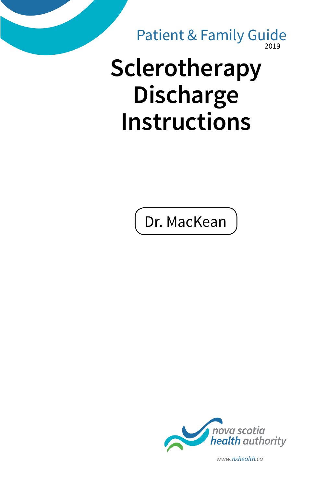$019$ Patient & Family Guide

# **Sclerotherapy Discharge Instructions**

Dr. MacKean



*www.nshealth.ca*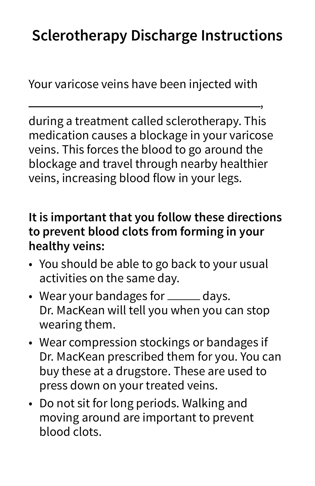# **Sclerotherapy Discharge Instructions**

,

Your varicose veins have been injected with

during a treatment called sclerotherapy. This medication causes a blockage in your varicose veins. This forces the blood to go around the blockage and travel through nearby healthier veins, increasing blood flow in your legs.

### **It is important that you follow these directions to prevent blood clots from forming in your healthy veins:**

- You should be able to go back to your usual activities on the same day.
- Wear your bandages for \_\_\_\_\_ days. Dr. MacKean will tell you when you can stop wearing them.
- Wear compression stockings or bandages if Dr. MacKean prescribed them for you. You can buy these at a drugstore. These are used to press down on your treated veins.
- Do not sit for long periods. Walking and moving around are important to prevent blood clots.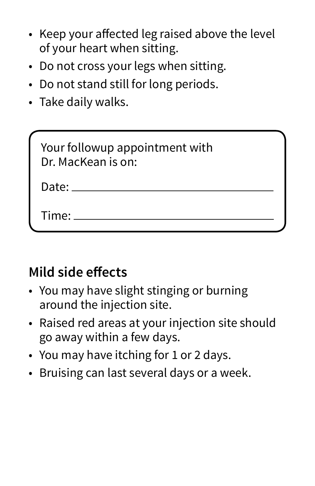- Keep your affected leg raised above the level of your heart when sitting.
- Do not cross your legs when sitting.
- Do not stand still for long periods.
- Take daily walks.

| Your followup appointment with<br>Dr. MacKean is on: |
|------------------------------------------------------|
| Date: $\overline{\phantom{a}}$                       |
| Time:                                                |

## **Mild side effects**

- You may have slight stinging or burning around the injection site.
- Raised red areas at your injection site should go away within a few days.
- You may have itching for 1 or 2 days.
- Bruising can last several days or a week.